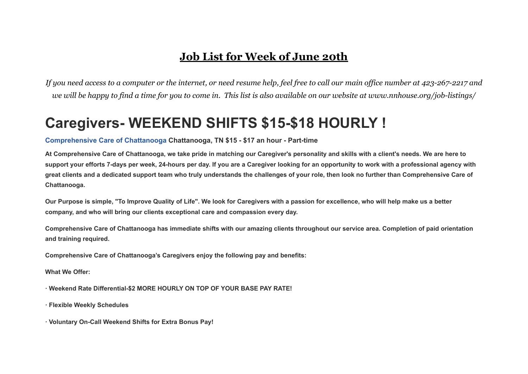### **Job List for Week of June 20th**

*If you need access to a computer or the internet, or need resume help, feel free to call our main office number at 423-267-2217 and we will be happy to find a time for you to come in. This list is also available on our website at www.nnhouse.org/job-listings/*

### **Caregivers- WEEKEND SHIFTS \$15-\$18 HOURLY !**

### **[Comprehensive](https://www.indeed.com/cmp/Comprehensive-Care-of-Chattanooga?campaignid=mobvjcmp&from=mobviewjob&tk=1fvqqgu6ks7hh800&fromjk=c34acb2e05efbb05) Care of Chattanooga Chattanooga, TN \$15 - \$17 an hour - Part-time**

At Comprehensive Care of Chattanooga, we take pride in matching our Caregiver's personality and skills with a client's needs. We are here to support your efforts 7-days per week, 24-hours per day. If you are a Caregiver looking for an opportunity to work with a professional agency with great clients and a dedicated support team who truly understands the challenges of your role, then look no further than Comprehensive Care of **Chattanooga.**

Our Purpose is simple. "To Improve Quality of Life". We look for Caregivers with a passion for excellence, who will help make us a better **company, and who will bring our clients exceptional care and compassion every day.**

Comprehensive Care of Chattanooga has immediate shifts with our amazing clients throughout our service area. Completion of paid orientation **and training required.**

**Comprehensive Care of Chattanooga's Caregivers enjoy the following pay and benefits:**

**What We Offer:**

**· Weekend Rate Differential-\$2 MORE HOURLY ON TOP OF YOUR BASE PAY RATE!**

**· Flexible Weekly Schedules**

**· Voluntary On-Call Weekend Shifts for Extra Bonus Pay!**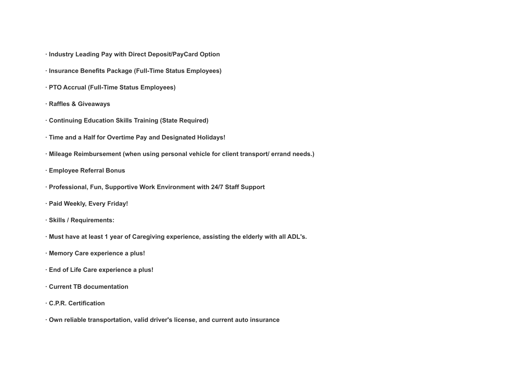- **· Industry Leading Pay with Direct Deposit/PayCard Option**
- **· Insurance Benefits Package (Full-Time Status Employees)**
- **· PTO Accrual (Full-Time Status Employees)**
- **· Raffles & Giveaways**
- **· Continuing Education Skills Training (State Required)**
- **· Time and a Half for Overtime Pay and Designated Holidays!**
- **· Mileage Reimbursement (when using personal vehicle for client transport/ errand needs.)**
- **· Employee Referral Bonus**
- **· Professional, Fun, Supportive Work Environment with 24/7 Staff Support**
- **· Paid Weekly, Every Friday!**
- **· Skills / Requirements:**
- **· Must have at least 1 year of Caregiving experience, assisting the elderly with all ADL's.**
- **· Memory Care experience a plus!**
- **· End of Life Care experience a plus!**
- **· Current TB documentation**
- **· C.P.R. Certification**
- **· Own reliable transportation, valid driver's license, and current auto insurance**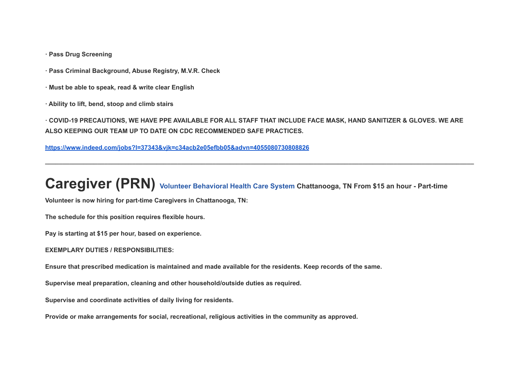**· Pass Drug Screening**

- **· Pass Criminal Background, Abuse Registry, M.V.R. Check**
- **· Must be able to speak, read & write clear English**
- **· Ability to lift, bend, stoop and climb stairs**

· COVID-19 PRECAUTIONS, WE HAVE PPE AVAILABLE FOR ALL STAFF THAT INCLUDE FACE MASK, HAND SANITIZER & GLOVES. WE ARE **ALSO KEEPING OUR TEAM UP TO DATE ON CDC RECOMMENDED SAFE PRACTICES.**

**\_\_\_\_\_\_\_\_\_\_\_\_\_\_\_\_\_\_\_\_\_\_\_\_\_\_\_\_\_\_\_\_\_\_\_\_\_\_\_\_\_\_\_\_\_\_\_\_\_\_\_\_\_\_\_\_\_\_\_\_\_\_\_\_\_\_\_\_\_\_\_\_\_\_\_\_\_\_\_\_\_\_\_\_\_\_\_\_\_\_\_\_\_\_\_\_\_\_\_\_\_\_\_\_\_\_\_\_\_\_\_\_\_\_\_\_\_\_\_\_\_\_\_**

**<https://www.indeed.com/jobs?l=37343&vjk=c34acb2e05efbb05&advn=4055080730808826>**

# **Caregiver (PRN) Volunteer [Behavioral](https://www.indeed.com/cmp/Volunteer-Behavioral-Health-Care-System?campaignid=mobvjcmp&from=mobviewjob&tk=1g22f071ikf23800&fromjk=8c030e4a8079e0e5) Health Care System Chattanooga, TN From \$15 an hour - Part-time**

**Volunteer is now hiring for part-time Caregivers in Chattanooga, TN:**

**The schedule for this position requires flexible hours.**

**Pay is starting at \$15 per hour, based on experience.**

**EXEMPLARY DUTIES / RESPONSIBILITIES:**

Ensure that prescribed medication is maintained and made available for the residents. Keep records of the same.

**Supervise meal preparation, cleaning and other household/outside duties as required.**

**Supervise and coordinate activities of daily living for residents.**

**Provide or make arrangements for social, recreational, religious activities in the community as approved.**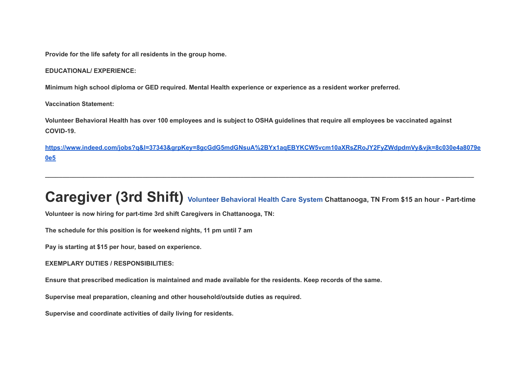**Provide for the life safety for all residents in the group home.**

**EDUCATIONAL/ EXPERIENCE:**

Minimum high school diploma or GED required. Mental Health experience or experience as a resident worker preferred.

**Vaccination Statement:**

Volunteer Behavioral Health has over 100 employees and is subject to OSHA guidelines that require all employees be vaccinated against **COVID-19.**

**[https://www.indeed.com/jobs?q&l=37343&grpKey=8gcGdG5mdGNsuA%2BYx1aqEBYKCW5vcm10aXRsZRoJY2FyZWdpdmVy&vjk=8c030e4a8079e](https://www.indeed.com/jobs?q&l=37343&grpKey=8gcGdG5mdGNsuA%2BYx1aqEBYKCW5vcm10aXRsZRoJY2FyZWdpdmVy&vjk=8c030e4a8079e0e5) [0e5](https://www.indeed.com/jobs?q&l=37343&grpKey=8gcGdG5mdGNsuA%2BYx1aqEBYKCW5vcm10aXRsZRoJY2FyZWdpdmVy&vjk=8c030e4a8079e0e5)**

# **Caregiver (3rd Shift) Volunteer [Behavioral](https://www.indeed.com/cmp/Volunteer-Behavioral-Health-Care-System?campaignid=mobvjcmp&from=mobviewjob&tk=1g22f2rud38qg000&fromjk=823d6ce8fae164c8) Health Care System Chattanooga, TN From \$15 an hour - Part-time**

**\_\_\_\_\_\_\_\_\_\_\_\_\_\_\_\_\_\_\_\_\_\_\_\_\_\_\_\_\_\_\_\_\_\_\_\_\_\_\_\_\_\_\_\_\_\_\_\_\_\_\_\_\_\_\_\_\_\_\_\_\_\_\_\_\_\_\_\_\_\_\_\_\_\_\_\_\_\_\_\_\_\_\_\_\_\_\_\_\_\_\_\_\_\_\_\_\_\_\_\_\_\_\_\_\_\_\_\_\_\_\_\_\_\_\_\_\_\_\_\_\_\_\_**

**Volunteer is now hiring for part-time 3rd shift Caregivers in Chattanooga, TN:**

**The schedule for this position is for weekend nights, 11 pm until 7 am**

**Pay is starting at \$15 per hour, based on experience.**

**EXEMPLARY DUTIES / RESPONSIBILITIES:**

Ensure that prescribed medication is maintained and made available for the residents. Keep records of the same,

**Supervise meal preparation, cleaning and other household/outside duties as required.**

**Supervise and coordinate activities of daily living for residents.**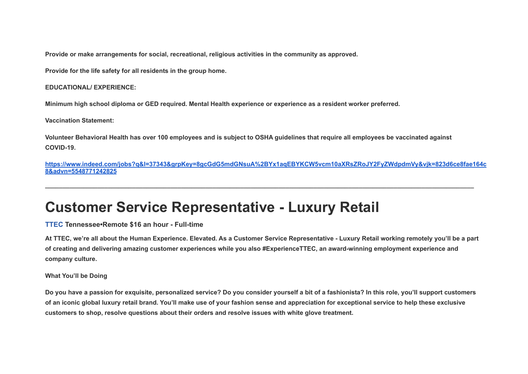**Provide or make arrangements for social, recreational, religious activities in the community as approved.**

**Provide for the life safety for all residents in the group home.**

#### **EDUCATIONAL/ EXPERIENCE:**

Minimum high school diploma or GED required. Mental Health experience or experience as a resident worker preferred.

**Vaccination Statement:**

Volunteer Behavioral Health has over 100 employees and is subject to OSHA guidelines that require all employees be vaccinated against **COVID-19.**

**[https://www.indeed.com/jobs?q&l=37343&grpKey=8gcGdG5mdGNsuA%2BYx1aqEBYKCW5vcm10aXRsZRoJY2FyZWdpdmVy&vjk=823d6ce8fae164c](https://www.indeed.com/jobs?q&l=37343&grpKey=8gcGdG5mdGNsuA%2BYx1aqEBYKCW5vcm10aXRsZRoJY2FyZWdpdmVy&vjk=823d6ce8fae164c8&advn=5548771242825) [8&advn=5548771242825](https://www.indeed.com/jobs?q&l=37343&grpKey=8gcGdG5mdGNsuA%2BYx1aqEBYKCW5vcm10aXRsZRoJY2FyZWdpdmVy&vjk=823d6ce8fae164c8&advn=5548771242825)**

**\_\_\_\_\_\_\_\_\_\_\_\_\_\_\_\_\_\_\_\_\_\_\_\_\_\_\_\_\_\_\_\_\_\_\_\_\_\_\_\_\_\_\_\_\_\_\_\_\_\_\_\_\_\_\_\_\_\_\_\_\_\_\_\_\_\_\_\_\_\_\_\_\_\_\_\_\_\_\_\_\_\_\_\_\_\_\_\_\_\_\_\_\_\_\_\_\_\_\_\_\_\_\_\_\_\_\_\_\_\_\_\_\_\_\_\_\_\_\_\_\_\_\_**

### **Customer Service Representative - Luxury Retail**

**[TTEC](https://www.indeed.com/cmp/Ttec-US-Field?campaignid=mobvjcmp&from=mobviewjob&tk=1g2krg9q6ocra802&fromjk=3a5474b71a9c83e7) Tennessee•Remote \$16 an hour - Full-time**

At TTEC, we're all about the Human Experience. Elevated. As a Customer Service Representative - Luxury Retail working remotely you'll be a part of creating and delivering amazing customer experiences while you also #ExperienceTTEC, an award-winning employment experience and **company culture.**

#### **What You'll be Doing**

Do you have a passion for exquisite, personalized service? Do you consider yourself a bit of a fashionista? In this role, you'll support customers of an iconic global luxury retail brand. You'll make use of your fashion sense and appreciation for exceptional service to help these exclusive **customers to shop, resolve questions about their orders and resolve issues with white glove treatment.**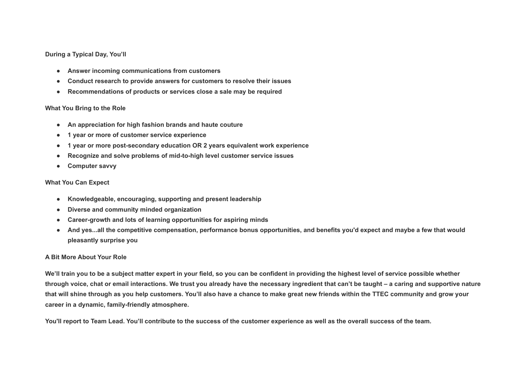#### **During a Typical Day, You'll**

- **● Answer incoming communications from customers**
- **● Conduct research to provide answers for customers to resolve their issues**
- **● Recommendations of products or services close a sale may be required**

#### **What You Bring to the Role**

- **● An appreciation for high fashion brands and haute couture**
- **● 1 year or more of customer service experience**
- **● 1 year or more post-secondary education OR 2 years equivalent work experience**
- **● Recognize and solve problems of mid-to-high level customer service issues**
- **● Computer savvy**

#### **What You Can Expect**

- **● Knowledgeable, encouraging, supporting and present leadership**
- **● Diverse and community minded organization**
- **● Career-growth and lots of learning opportunities for aspiring minds**
- And yes...all the competitive compensation, performance bonus opportunities, and benefits you'd expect and maybe a few that would **pleasantly surprise you**

#### **A Bit More About Your Role**

We'll train you to be a subject matter expert in your field, so you can be confident in providing the highest level of service possible whether through voice, chat or email interactions. We trust you already have the necessary ingredient that can't be taught – a caring and supportive nature that will shine through as you help customers. You'll also have a chance to make great new friends within the TTEC community and grow your **career in a dynamic, family-friendly atmosphere.**

You'll report to Team Lead. You'll contribute to the success of the customer experience as well as the overall success of the team.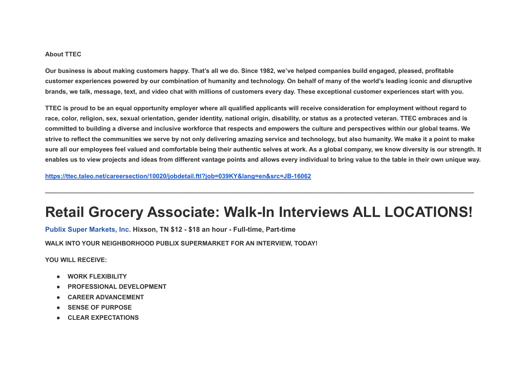#### **About TTEC**

Our business is about making customers happy. That's all we do. Since 1982, we've helped companies build engaged, pleased, profitable customer experiences powered by our combination of humanity and technology. On behalf of many of the world's leading iconic and disruptive brands, we talk, message, text, and video chat with millions of customers every day. These exceptional customer experiences start with you,

TTEC is proud to be an equal opportunity employer where all qualified applicants will receive consideration for employment without regard to race, color, religion, sex, sexual orientation, gender identity, national origin, disability, or status as a protected veteran. TTEC embraces and is committed to building a diverse and inclusive workforce that respects and empowers the culture and perspectives within our global teams. We strive to reflect the communities we serve by not only delivering amazing service and technology, but also humanity. We make it a point to make sure all our employees feel valued and comfortable being their authentic selves at work. As a global company, we know diversity is our strength, It enables us to view projects and ideas from different vantage points and allows every individual to bring value to the table in their own unique way.

**<https://ttec.taleo.net/careersection/10020/jobdetail.ftl?job=039KY&lang=en&src=JB-16062>**

### **Retail Grocery Associate: Walk-In Interviews ALL LOCATIONS!**

**\_\_\_\_\_\_\_\_\_\_\_\_\_\_\_\_\_\_\_\_\_\_\_\_\_\_\_\_\_\_\_\_\_\_\_\_\_\_\_\_\_\_\_\_\_\_\_\_\_\_\_\_\_\_\_\_\_\_\_\_\_\_\_\_\_\_\_\_\_\_\_\_\_\_\_\_\_\_\_\_\_\_\_\_\_\_\_\_\_\_\_\_\_\_\_\_\_\_\_\_\_\_\_\_\_\_\_\_\_\_\_\_\_\_\_\_\_\_\_\_\_\_\_**

**Publix Super [Markets,](https://www.indeed.com/cmp/Publix?campaignid=mobvjcmp&from=mobviewjob&tk=1g4v6dqikjp0r801&fromjk=db84d948e1bb65c2) Inc. Hixson, TN \$12 - \$18 an hour - Full-time, Part-time**

**WALK INTO YOUR NEIGHBORHOOD PUBLIX SUPERMARKET FOR AN INTERVIEW, TODAY!**

**YOU WILL RECEIVE:**

- **● WORK FLEXIBILITY**
- **● PROFESSIONAL DEVELOPMENT**
- **● CAREER ADVANCEMENT**
- **● SENSE OF PURPOSE**
- **● CLEAR EXPECTATIONS**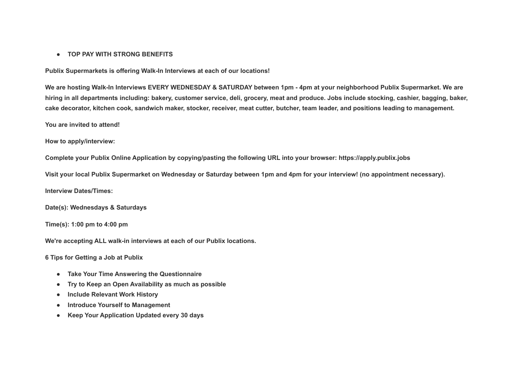#### **● TOP PAY WITH STRONG BENEFITS**

**Publix Supermarkets is offering Walk-In Interviews at each of our locations!**

We are hosting Walk-In Interviews EVERY WEDNESDAY & SATURDAY between 1pm - 4pm at your neighborhood Publix Supermarket. We are hiring in all departments including: bakery, customer service, deli, grocery, meat and produce. Jobs include stocking, cashier, bagging, baker, cake decorator, kitchen cook, sandwich maker, stocker, receiver, meat cutter, butcher, team leader, and positions leading to management.

**You are invited to attend!**

**How to apply/interview:**

**Complete your Publix Online Application by copying/pasting the following URL into your browser: https://apply.publix.jobs**

Visit your local Publix Supermarket on Wednesday or Saturday between 1pm and 4pm for your interview! (no appointment necessary).

**Interview Dates/Times:**

**Date(s): Wednesdays & Saturdays**

**Time(s): 1:00 pm to 4:00 pm**

**We're accepting ALL walk-in interviews at each of our Publix locations.**

**6 Tips for Getting a Job at Publix**

- **● Take Your Time Answering the Questionnaire**
- **● Try to Keep an Open Availability as much as possible**
- **● Include Relevant Work History**
- **● Introduce Yourself to Management**
- **● Keep Your Application Updated every 30 days**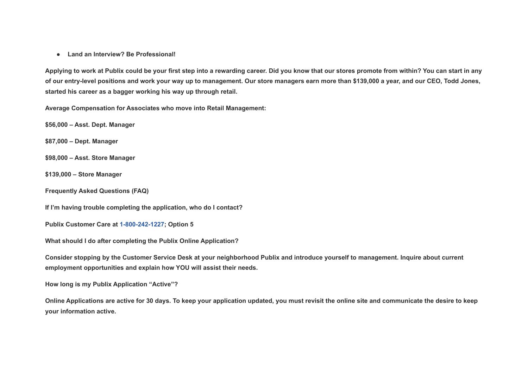**● Land an Interview? Be Professional!**

Applying to work at Publix could be your first step into a rewarding career. Did you know that our stores promote from within? You can start in any of our entry-level positions and work your way up to management. Our store managers earn more than \$139,000 a year, and our CEO. Todd Jones, **started his career as a bagger working his way up through retail.**

**Average Compensation for Associates who move into Retail Management:**

**\$56,000 – Asst. Dept. Manager**

**\$87,000 – Dept. Manager**

**\$98,000 – Asst. Store Manager**

**\$139,000 – Store Manager**

**Frequently Asked Questions (FAQ)**

**If I'm having trouble completing the application, who do I contact?**

**Publix Customer Care at 1-800-242-1227; Option 5**

**What should I do after completing the Publix Online Application?**

Consider stopping by the Customer Service Desk at your neighborhood Publix and introduce yourself to management. Inquire about current **employment opportunities and explain how YOU will assist their needs.**

**How long is my Publix Application "Active"?**

Online Applications are active for 30 days. To keep your application updated, you must revisit the online site and communicate the desire to keep **your information active.**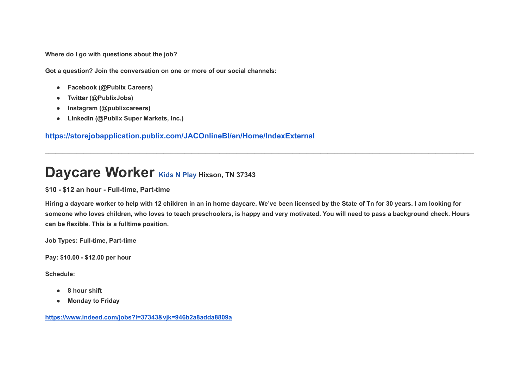**Where do I go with questions about the job?**

**Got a question? Join the conversation on one or more of our social channels:**

- **● Facebook (@Publix Careers)**
- **● Twitter (@PublixJobs)**
- **● Instagram (@publixcareers)**
- **● LinkedIn (@Publix Super Markets, Inc.)**

**<https://storejobapplication.publix.com/JACOnlineBI/en/Home/IndexExternal>**

### **Daycare Worker [Kids](https://www.indeed.com/cmp/Kids-N-Play?campaignid=mobvjcmp&from=mobviewjob&tk=1g4v6gumbjp1v800&fromjk=946b2a8adda8809a) <sup>N</sup> Play Hixson, TN <sup>37343</sup>**

### **\$10 - \$12 an hour - Full-time, Part-time**

Hiring a daycare worker to help with 12 children in an in home daycare. We've been licensed by the State of Tn for 30 years. I am looking for someone who loves children, who loves to teach preschoolers, is happy and very motivated. You will need to pass a background check. Hours **can be flexible. This is a fulltime position.**

**\_\_\_\_\_\_\_\_\_\_\_\_\_\_\_\_\_\_\_\_\_\_\_\_\_\_\_\_\_\_\_\_\_\_\_\_\_\_\_\_\_\_\_\_\_\_\_\_\_\_\_\_\_\_\_\_\_\_\_\_\_\_\_\_\_\_\_\_\_\_\_\_\_\_\_\_\_\_\_\_\_\_\_\_\_\_\_\_\_\_\_\_\_\_\_\_\_\_\_\_\_\_\_\_\_\_\_\_\_\_\_\_\_\_\_\_\_\_\_\_\_\_\_**

**Job Types: Full-time, Part-time**

**Pay: \$10.00 - \$12.00 per hour**

**Schedule:**

- **● 8 hour shift**
- **● Monday to Friday**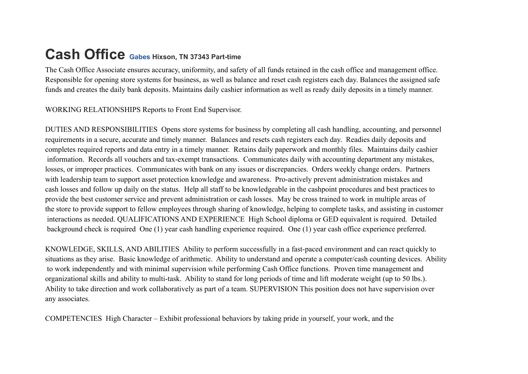# **Cash Office [Gabes](https://www.indeed.com/cmp/Gabe*s?campaignid=mobvjcmp&from=mobviewjob&tk=1g4v6ilvgt4bj800&fromjk=a7f79cc5a85f5c13) Hixson, TN <sup>37343</sup> Part-time**

The Cash Office Associate ensures accuracy, uniformity, and safety of all funds retained in the cash office and management office. Responsible for opening store systems for business, as well as balance and reset cash registers each day. Balances the assigned safe funds and creates the daily bank deposits. Maintains daily cashier information as well as ready daily deposits in a timely manner.

WORKING RELATIONSHIPS Reports to Front End Supervisor.

DUTIES AND RESPONSIBILITIES Opens store systems for business by completing all cash handling, accounting, and personnel requirements in a secure, accurate and timely manner. Balances and resets cash registers each day. Readies daily deposits and completes required reports and data entry in a timely manner. Retains daily paperwork and monthly files. Maintains daily cashier information. Records all vouchers and tax-exempt transactions. Communicates daily with accounting department any mistakes, losses, or improper practices. Communicates with bank on any issues or discrepancies. Orders weekly change orders. Partners with leadership team to support asset protection knowledge and awareness. Pro-actively prevent administration mistakes and cash losses and follow up daily on the status. Help all staff to be knowledgeable in the cashpoint procedures and best practices to provide the best customer service and prevent administration or cash losses. May be cross trained to work in multiple areas of the store to provide support to fellow employees through sharing of knowledge, helping to complete tasks, and assisting in customer interactions as needed. QUALIFICATIONS AND EXPERIENCE High School diploma or GED equivalent is required. Detailed background check is required One (1) year cash handling experience required. One (1) year cash office experience preferred.

KNOWLEDGE, SKILLS, AND ABILITIES Ability to perform successfully in a fast-paced environment and can react quickly to situations as they arise. Basic knowledge of arithmetic. Ability to understand and operate a computer/cash counting devices. Ability to work independently and with minimal supervision while performing Cash Office functions. Proven time management and organizational skills and ability to multi-task. Ability to stand for long periods of time and lift moderate weight (up to 50 lbs.). Ability to take direction and work collaboratively as part of a team. SUPERVISION This position does not have supervision over any associates.

COMPETENCIES High Character – Exhibit professional behaviors by taking pride in yourself, your work, and the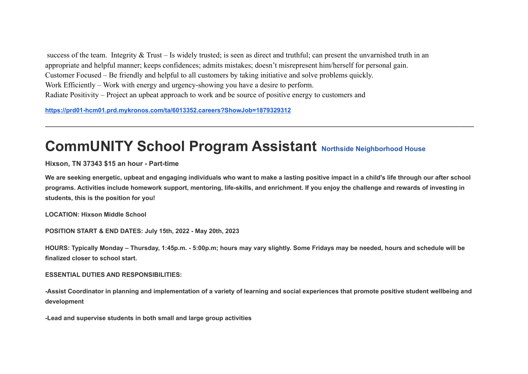success of the team. Integrity  $&$  Trust – Is widely trusted; is seen as direct and truthful; can present the unvarnished truth in an appropriate and helpful manner; keeps confidences; admits mistakes; doesn't misrepresent him/herself for personal gain. Customer Focused – Be friendly and helpful to all customers by taking initiative and solve problems quickly. Work Efficiently – Work with energy and urgency-showing you have a desire to perform. Radiate Positivity – Project an upbeat approach to work and be source of positive energy to customers and

**<https://prd01-hcm01.prd.mykronos.com/ta/6013352.careers?ShowJob=1879329312>**

### **CommUNITY School Program Assistant Northside [Neighborhood](https://www.indeed.com/cmp/Northside-Neighborhood-House?campaignid=mobvjcmp&from=mobviewjob&tk=1g5eot2lmkf0r801&fromjk=10dd3116c6c8b470) House**

**Hixson, TN 37343 \$15 an hour - Part-time**

We are seeking energetic, upbeat and engaging individuals who want to make a lasting positive impact in a child's life through our after school programs. Activities include homework support, mentoring, life-skills, and enrichment. If you enjoy the challenge and rewards of investing in **students, this is the position for you!**

**\_\_\_\_\_\_\_\_\_\_\_\_\_\_\_\_\_\_\_\_\_\_\_\_\_\_\_\_\_\_\_\_\_\_\_\_\_\_\_\_\_\_\_\_\_\_\_\_\_\_\_\_\_\_\_\_\_\_\_\_\_\_\_\_\_\_\_\_\_\_\_\_\_\_\_\_\_\_\_\_\_\_\_\_\_\_\_\_\_\_\_\_\_\_\_\_\_\_\_\_\_\_\_\_\_\_\_\_\_\_\_\_\_\_\_\_\_\_\_\_\_\_\_**

**LOCATION: Hixson Middle School**

**POSITION START & END DATES: July 15th, 2022 - May 20th, 2023**

HOURS: Typically Monday – Thursday, 1:45p.m. - 5:00p.m; hours may vary slightly. Some Fridays may be needed, hours and schedule will be **finalized closer to school start.**

### **ESSENTIAL DUTIES AND RESPONSIBILITIES:**

-Assist Coordinator in planning and implementation of a variety of learning and social experiences that promote positive student wellbeing and **development**

**-Lead and supervise students in both small and large group activities**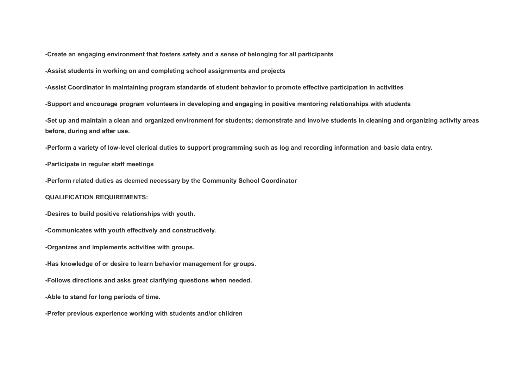**-Create an engaging environment that fosters safety and a sense of belonging for all participants**

**-Assist students in working on and completing school assignments and projects**

-Assist Coordinator in maintaining program standards of student behavior to promote effective participation in activities

**-Support and encourage program volunteers in developing and engaging in positive mentoring relationships with students**

-Set up and maintain a clean and organized environment for students: demonstrate and involve students in cleaning and organizing activity areas **before, during and after use.**

-Perform a variety of low-level clerical duties to support programming such as log and recording information and basic data entry.

**-Participate in regular staff meetings**

**-Perform related duties as deemed necessary by the Community School Coordinator**

#### **QUALIFICATION REQUIREMENTS:**

**-Desires to build positive relationships with youth.**

**-Communicates with youth effectively and constructively.**

**-Organizes and implements activities with groups.**

**-Has knowledge of or desire to learn behavior management for groups.**

**-Follows directions and asks great clarifying questions when needed.**

**-Able to stand for long periods of time.**

**-Prefer previous experience working with students and/or children**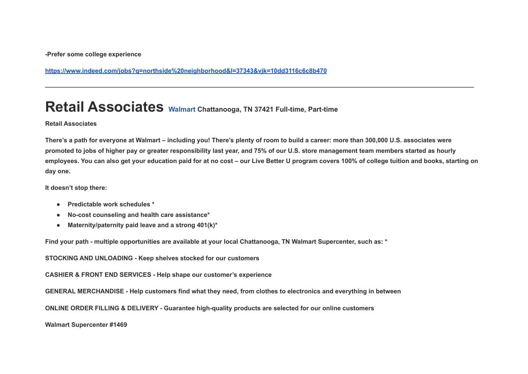**-Prefer some college experience**

**<https://www.indeed.com/jobs?q=northside%20neighborhood&l=37343&vjk=10dd3116c6c8b470>**

### **Retail Associates [Walmart](https://www.indeed.com/cmp/Walmart?campaignid=mobvjcmp&from=mobviewjob&tk=1g5ep0oc7j465800&fromjk=f32b328495bf128d) Chattanooga, TN <sup>37421</sup> Full-time, Part-time**

#### **Retail Associates**

There's a path for everyone at Walmart – including you! There's plenty of room to build a career: more than 300,000 U.S. associates were promoted to jobs of higher pay or greater responsibility last year, and 75% of our U.S. store management team members started as hourly employees. You can also get your education paid for at no cost - our Live Better U program covers 100% of college tuition and books, starting on **day one.**

**\_\_\_\_\_\_\_\_\_\_\_\_\_\_\_\_\_\_\_\_\_\_\_\_\_\_\_\_\_\_\_\_\_\_\_\_\_\_\_\_\_\_\_\_\_\_\_\_\_\_\_\_\_\_\_\_\_\_\_\_\_\_\_\_\_\_\_\_\_\_\_\_\_\_\_\_\_\_\_\_\_\_\_\_\_\_\_\_\_\_\_\_\_\_\_\_\_\_\_\_\_\_\_\_\_\_\_\_\_\_\_\_\_\_\_\_\_\_\_\_\_\_\_**

**It doesn't stop there:**

- **● Predictable work schedules \***
- **● No-cost counseling and health care assistance\***
- **● Maternity/paternity paid leave and a strong 401(k)\***

Find your path - multiple opportunities are available at your local Chattanooga, TN Walmart Supercenter, such as: \*

**STOCKING AND UNLOADING - Keep shelves stocked for our customers**

**CASHIER & FRONT END SERVICES - Help shape our customer's experience**

GENERAL MERCHANDISE - Help customers find what they need, from clothes to electronics and everything in between

**ONLINE ORDER FILLING & DELIVERY - Guarantee high-quality products are selected for our online customers**

**Walmart Supercenter #1469**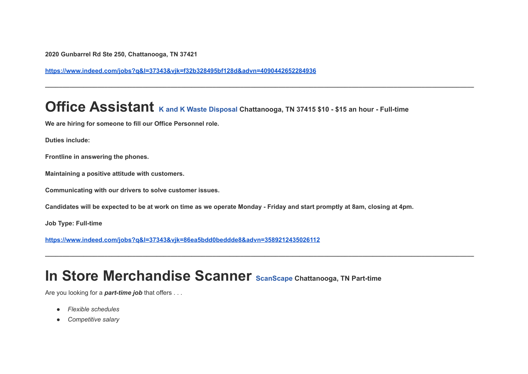**2020 Gunbarrel Rd Ste 250, Chattanooga, TN 37421**

**<https://www.indeed.com/jobs?q&l=37343&vjk=f32b328495bf128d&advn=4090442652284936>**

# **Office Assistant <sup>K</sup> and <sup>K</sup> Waste [Disposal](https://www.indeed.com/cmp/K-and-K-Waste-Disposal?campaignid=mobvjcmp&from=mobviewjob&tk=1g5ep3cjqq0uk802&fromjk=86ea5bdd0beddde8) Chattanooga, TN <sup>37415</sup> \$10 - \$15 an hour - Full-time**

**\_\_\_\_\_\_\_\_\_\_\_\_\_\_\_\_\_\_\_\_\_\_\_\_\_\_\_\_\_\_\_\_\_\_\_\_\_\_\_\_\_\_\_\_\_\_\_\_\_\_\_\_\_\_\_\_\_\_\_\_\_\_\_\_\_\_\_\_\_\_\_\_\_\_\_\_\_\_\_\_\_\_\_\_\_\_\_\_\_\_\_\_\_\_\_\_\_\_\_\_\_\_\_\_\_\_\_\_\_\_\_\_\_\_\_\_\_\_\_\_\_\_\_**

**\_\_\_\_\_\_\_\_\_\_\_\_\_\_\_\_\_\_\_\_\_\_\_\_\_\_\_\_\_\_\_\_\_\_\_\_\_\_\_\_\_\_\_\_\_\_\_\_\_\_\_\_\_\_\_\_\_\_\_\_\_\_\_\_\_\_\_\_\_\_\_\_\_\_\_\_\_\_\_\_\_\_\_\_\_\_\_\_\_\_\_\_\_\_\_\_\_\_\_\_\_\_\_\_\_\_\_\_\_\_\_\_\_\_\_\_\_\_\_\_\_\_\_**

**We are hiring for someone to fill our Office Personnel role.**

**Duties include:**

**Frontline in answering the phones.**

**Maintaining a positive attitude with customers.**

**Communicating with our drivers to solve customer issues.**

Candidates will be expected to be at work on time as we operate Monday - Friday and start promptly at 8am, closing at 4pm.

**Job Type: Full-time**

**<https://www.indeed.com/jobs?q&l=37343&vjk=86ea5bdd0beddde8&advn=3589212435026112>**

### **In Store Merchandise Scanner [ScanScape](https://www.indeed.com/cmp/Scanscape?campaignid=mobvjcmp&from=mobviewjob&tk=1g5ep52u6kf3j801&fromjk=43d2592abe988df9) Chattanooga, TN Part-time**

Are you looking for a *part-time job* that offers . . .

- *Flexible schedules*
- *Competitive salary*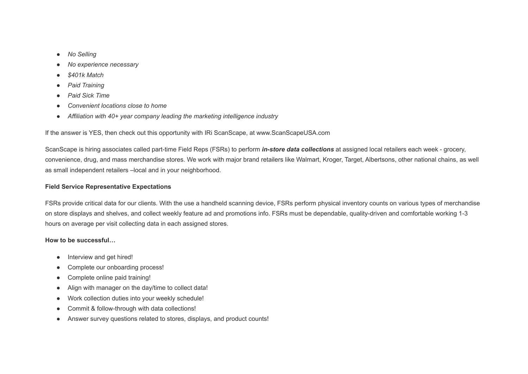- *No Selling*
- *No experience necessary*
- *\$401k Match*
- *Paid Training*
- *Paid Sick Time*
- *Convenient locations close to home*
- *Affiliation with 40+ year company leading the marketing intelligence industry*

If the answer is YES, then check out this opportunity with IRi ScanScape, at www.ScanScapeUSA.com

ScanScape is hiring associates called part-time Field Reps (FSRs) to perform *in-store data collections* at assigned local retailers each week - grocery, convenience, drug, and mass merchandise stores. We work with major brand retailers like Walmart, Kroger, Target, Albertsons, other national chains, as well as small independent retailers –local and in your neighborhood.

### **Field Service Representative Expectations**

FSRs provide critical data for our clients. With the use a handheld scanning device, FSRs perform physical inventory counts on various types of merchandise on store displays and shelves, and collect weekly feature ad and promotions info. FSRs must be dependable, quality-driven and comfortable working 1-3 hours on average per visit collecting data in each assigned stores.

### **How to be successful…**

- Interview and get hired!
- Complete our onboarding process!
- Complete online paid training!
- Align with manager on the day/time to collect data!
- Work collection duties into your weekly schedule!
- Commit & follow-through with data collections!
- Answer survey questions related to stores, displays, and product counts!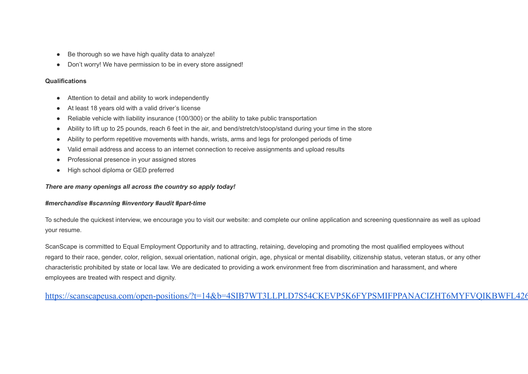- Be thorough so we have high quality data to analyze!
- Don't worry! We have permission to be in every store assigned!

### **Qualifications**

- Attention to detail and ability to work independently
- At least 18 years old with a valid driver's license
- Reliable vehicle with liability insurance (100/300) or the ability to take public transportation
- Ability to lift up to 25 pounds, reach 6 feet in the air, and bend/stretch/stoop/stand during your time in the store
- Ability to perform repetitive movements with hands, wrists, arms and legs for prolonged periods of time
- Valid email address and access to an internet connection to receive assignments and upload results
- Professional presence in your assigned stores
- High school diploma or GED preferred

### *There are many openings all across the country so apply today!*

### *#merchandise #scanning #inventory #audit #part-time*

To schedule the quickest interview, we encourage you to visit our website: and complete our online application and screening questionnaire as well as upload your resume.

ScanScape is committed to Equal Employment Opportunity and to attracting, retaining, developing and promoting the most qualified employees without regard to their race, gender, color, religion, sexual orientation, national origin, age, physical or mental disability, citizenship status, veteran status, or any other characteristic prohibited by state or local law. We are dedicated to providing a work environment free from discrimination and harassment, and where employees are treated with respect and dignity.

[https://scanscapeusa.com/open-positions/?t=14&b=4SIB7WT3LLPLD7S54CKEVP5K6FYPSMIFPPANACIZHT6MYFVQIKBWFL426](https://scanscapeusa.com/open-positions/?t=14&b=4SIB7WT3LLPLD7S54CKEVP5K6FYPSMIFPPANACIZHT6MYFVQIKBWFL426H2UFWCJN2I22U4FLYADEEBNYCIAUHTJ&action=detail&src=Indeed)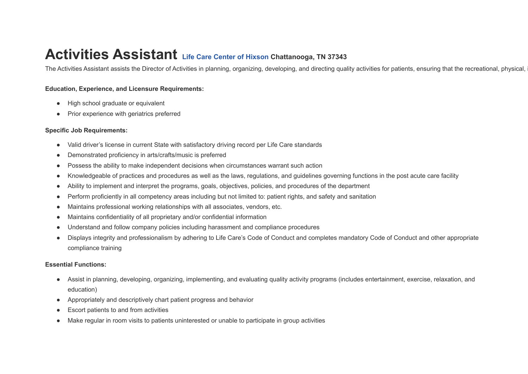### **Activities Assistant Life Care Center of [Hixson](https://www.indeed.com/cmp/Life-Care-Centers-of-America?campaignid=mobvjcmp&from=mobviewjob&tk=1g5ep9j6kkf2j800&fromjk=7f36f9587dc5686e) Chattanooga, TN <sup>37343</sup>**

The Activities Assistant assists the Director of Activities in planning, organizing, developing, and directing quality activities for patients, ensuring that the recreational, physical,

### **Education, Experience, and Licensure Requirements:**

- High school graduate or equivalent
- Prior experience with geriatrics preferred

#### **Specific Job Requirements:**

- Valid driver's license in current State with satisfactory driving record per Life Care standards
- Demonstrated proficiency in arts/crafts/music is preferred
- Possess the ability to make independent decisions when circumstances warrant such action
- Knowledgeable of practices and procedures as well as the laws, regulations, and guidelines governing functions in the post acute care facility
- Ability to implement and interpret the programs, goals, objectives, policies, and procedures of the department
- Perform proficiently in all competency areas including but not limited to: patient rights, and safety and sanitation
- Maintains professional working relationships with all associates, vendors, etc.
- Maintains confidentiality of all proprietary and/or confidential information
- Understand and follow company policies including harassment and compliance procedures
- Displays integrity and professionalism by adhering to Life Care's Code of Conduct and completes mandatory Code of Conduct and other appropriate compliance training

#### **Essential Functions:**

- Assist in planning, developing, organizing, implementing, and evaluating quality activity programs (includes entertainment, exercise, relaxation, and education)
- Appropriately and descriptively chart patient progress and behavior
- Escort patients to and from activities
- Make regular in room visits to patients uninterested or unable to participate in group activities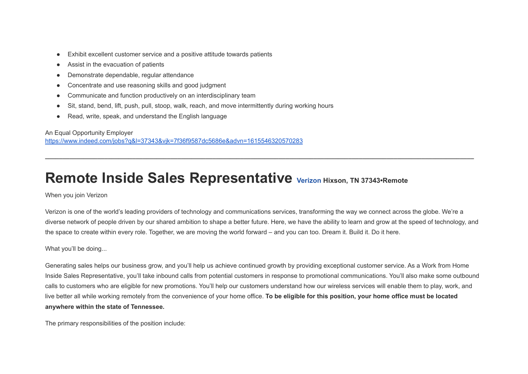- Exhibit excellent customer service and a positive attitude towards patients
- Assist in the evacuation of patients
- Demonstrate dependable, regular attendance
- Concentrate and use reasoning skills and good judgment
- Communicate and function productively on an interdisciplinary team
- Sit, stand, bend, lift, push, pull, stoop, walk, reach, and move intermittently during working hours
- Read, write, speak, and understand the English language

An Equal Opportunity Employer <https://www.indeed.com/jobs?q&l=37343&vjk=7f36f9587dc5686e&advn=1615546320570283>

### **Remote Inside Sales Representative [Verizon](https://www.indeed.com/cmp/Verizon?campaignid=mobvjcmp&from=mobviewjob&tk=1g60kt5h3sa28800&fromjk=539b7ae5d3fa4af6) Hixson, TN 37343•Remote**

When you join Verizon

Verizon is one of the world's leading providers of technology and communications services, transforming the way we connect across the globe. We're a diverse network of people driven by our shared ambition to shape a better future. Here, we have the ability to learn and grow at the speed of technology, and the space to create within every role. Together, we are moving the world forward – and you can too. Dream it. Build it. Do it here.

**\_\_\_\_\_\_\_\_\_\_\_\_\_\_\_\_\_\_\_\_\_\_\_\_\_\_\_\_\_\_\_\_\_\_\_\_\_\_\_\_\_\_\_\_\_\_\_\_\_\_\_\_\_\_\_\_\_\_\_\_\_\_\_\_\_\_\_\_\_\_\_\_\_\_\_\_\_\_\_\_\_\_\_\_\_\_\_\_\_\_\_\_\_\_\_\_\_\_\_\_\_\_\_\_\_\_\_\_\_\_\_\_\_\_\_\_\_\_\_\_\_\_\_**

What you'll be doing...

Generating sales helps our business grow, and you'll help us achieve continued growth by providing exceptional customer service. As a Work from Home Inside Sales Representative, you'll take inbound calls from potential customers in response to promotional communications. You'll also make some outbound calls to customers who are eligible for new promotions. You'll help our customers understand how our wireless services will enable them to play, work, and live better all while working remotely from the convenience of your home office. To be eligible for this position, your home office must be located **anywhere within the state of Tennessee.**

The primary responsibilities of the position include: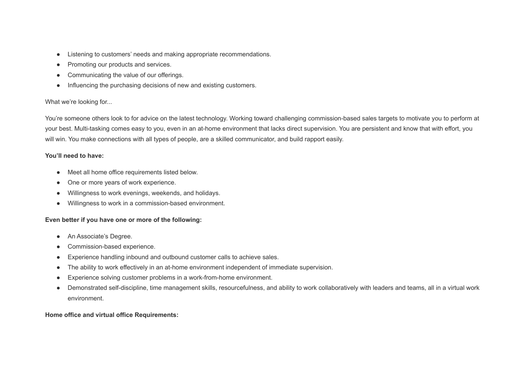- Listening to customers' needs and making appropriate recommendations.
- Promoting our products and services.
- Communicating the value of our offerings.
- Influencing the purchasing decisions of new and existing customers.

### What we're looking for...

You're someone others look to for advice on the latest technology. Working toward challenging commission-based sales targets to motivate you to perform at your best. Multi-tasking comes easy to you, even in an at-home environment that lacks direct supervision. You are persistent and know that with effort, you will win. You make connections with all types of people, are a skilled communicator, and build rapport easily.

### **You'll need to have:**

- Meet all home office requirements listed below.
- One or more years of work experience.
- Willingness to work evenings, weekends, and holidays.
- Willingness to work in a commission-based environment.

### **Even better if you have one or more of the following:**

- An Associate's Degree.
- Commission-based experience.
- Experience handling inbound and outbound customer calls to achieve sales.
- The ability to work effectively in an at-home environment independent of immediate supervision.
- Experience solving customer problems in a work-from-home environment.
- Demonstrated self-discipline, time management skills, resourcefulness, and ability to work collaboratively with leaders and teams, all in a virtual work environment.

### **Home office and virtual office Requirements:**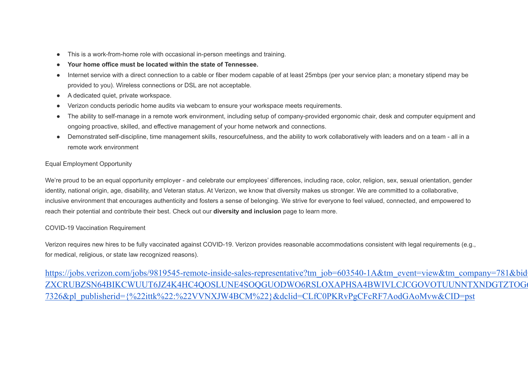- This is a work-from-home role with occasional in-person meetings and training.
- **Your home office must be located within the state of Tennessee.**
- Internet service with a direct connection to a cable or fiber modem capable of at least 25mbps (per your service plan; a monetary stipend may be provided to you). Wireless connections or DSL are not acceptable.
- A dedicated quiet, private workspace.
- Verizon conducts periodic home audits via webcam to ensure your workspace meets requirements.
- The ability to self-manage in a remote work environment, including setup of company-provided ergonomic chair, desk and computer equipment and ongoing proactive, skilled, and effective management of your home network and connections.
- Demonstrated self-discipline, time management skills, resourcefulness, and the ability to work collaboratively with leaders and on a team all in a remote work environment

### Equal Employment Opportunity

We're proud to be an equal opportunity employer - and celebrate our employees' differences, including race, color, religion, sex, sexual orientation, gender identity, national origin, age, disability, and Veteran status. At Verizon, we know that diversity makes us stronger. We are committed to a collaborative, inclusive environment that encourages authenticity and fosters a sense of belonging. We strive for everyone to feel valued, connected, and empowered to reach their potential and contribute their best. Check out our **diversity and inclusion** page to learn more.

### COVID-19 Vaccination Requirement

Verizon requires new hires to be fully vaccinated against COVID-19. Verizon provides reasonable accommodations consistent with legal requirements (e.g., for medical, religious, or state law recognized reasons).

https://jobs.verizon.com/jobs/9819545-remote-inside-sales-representative?tm\_job=603540-1A&tm\_event=view&tm\_company=781&bid [ZXCRUBZSN64BIKCWUUT6JZ4K4HC4QOSLUNE4SOQGUODWO6RSLOXAPHSA4BWIVLCJCGOVOTUUNNTXNDGTZTOG6](https://jobs.verizon.com/jobs/9819545-remote-inside-sales-representative?tm_job=603540-1A&tm_event=view&tm_company=781&bid=0&etd=LAFFER2UEHPRAV74OGNJFA5YAIFHCSEY2L6N5TG7C4PJ6YZADLVPCOIDBLW3HLSUCZXCRUBZSN64BIKCWUUT6JZ4K4HC4QOSLUNE4SOQGUODWO6RSLOXAPHSA4BWIVLCJCGOVOTUUNNTXNDGTZTOG6CY4E%3d%3d%3d%3d%3d%3d&piq_uuid=5a23aab4-0078-42e5-9560-0861ca8cb9ae&clickuid=14280827326&pl_publisherid=%7B%22ittk%22:%22VVNXJW4BCM%22%7D&dclid=CLfC0PKRvPgCFcRF7AodGAoMvw&CID=pst) [7326&pl\\_publisherid={%22ittk%22:%22VVNXJW4BCM%22}&dclid=CLfC0PKRvPgCFcRF7AodGAoMvw&CID=pst](https://jobs.verizon.com/jobs/9819545-remote-inside-sales-representative?tm_job=603540-1A&tm_event=view&tm_company=781&bid=0&etd=LAFFER2UEHPRAV74OGNJFA5YAIFHCSEY2L6N5TG7C4PJ6YZADLVPCOIDBLW3HLSUCZXCRUBZSN64BIKCWUUT6JZ4K4HC4QOSLUNE4SOQGUODWO6RSLOXAPHSA4BWIVLCJCGOVOTUUNNTXNDGTZTOG6CY4E%3d%3d%3d%3d%3d%3d&piq_uuid=5a23aab4-0078-42e5-9560-0861ca8cb9ae&clickuid=14280827326&pl_publisherid=%7B%22ittk%22:%22VVNXJW4BCM%22%7D&dclid=CLfC0PKRvPgCFcRF7AodGAoMvw&CID=pst)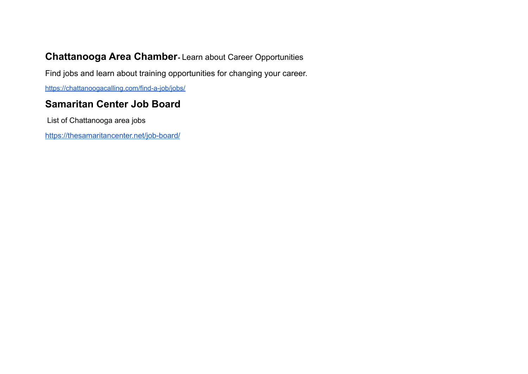### **Chattanooga Area Chamber-** Learn about Career Opportunities

Find jobs and learn about training opportunities for changing your career.

<https://chattanoogacalling.com/find-a-job/jobs/>

### **Samaritan Center Job Board**

List of Chattanooga area jobs

<https://thesamaritancenter.net/job-board/>